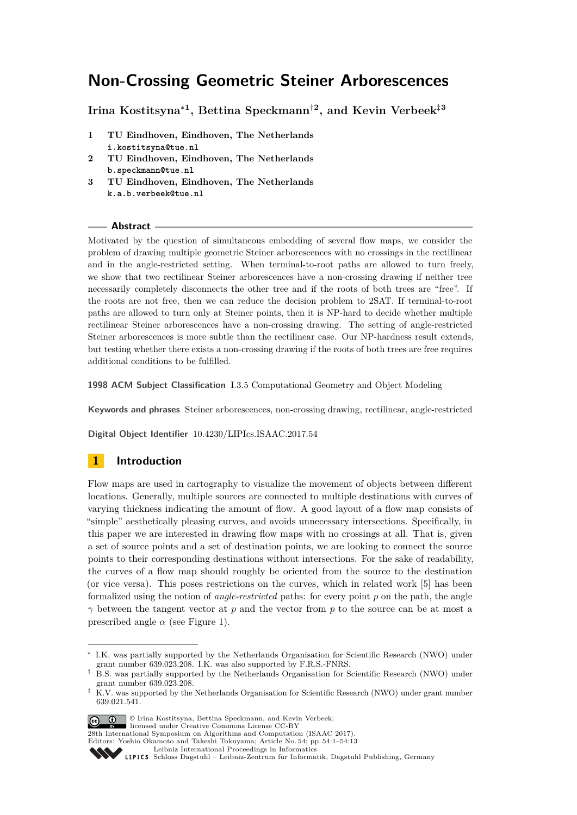# **Non-Crossing Geometric Steiner Arborescences**

**Irina Kostitsyna**<sup>∗</sup>**<sup>1</sup> , Bettina Speckmann**†**<sup>2</sup> , and Kevin Verbeek**‡**<sup>3</sup>**

- **1 TU Eindhoven, Eindhoven, The Netherlands i.kostitsyna@tue.nl**
- **2 TU Eindhoven, Eindhoven, The Netherlands b.speckmann@tue.nl**
- **3 TU Eindhoven, Eindhoven, The Netherlands k.a.b.verbeek@tue.nl**

### **Abstract**

Motivated by the question of simultaneous embedding of several flow maps, we consider the problem of drawing multiple geometric Steiner arborescences with no crossings in the rectilinear and in the angle-restricted setting. When terminal-to-root paths are allowed to turn freely, we show that two rectilinear Steiner arborescences have a non-crossing drawing if neither tree necessarily completely disconnects the other tree and if the roots of both trees are "free". If the roots are not free, then we can reduce the decision problem to 2SAT. If terminal-to-root paths are allowed to turn only at Steiner points, then it is NP-hard to decide whether multiple rectilinear Steiner arborescences have a non-crossing drawing. The setting of angle-restricted Steiner arborescences is more subtle than the rectilinear case. Our NP-hardness result extends, but testing whether there exists a non-crossing drawing if the roots of both trees are free requires additional conditions to be fulfilled.

**1998 ACM Subject Classification** I.3.5 Computational Geometry and Object Modeling

**Keywords and phrases** Steiner arborescences, non-crossing drawing, rectilinear, angle-restricted

**Digital Object Identifier** [10.4230/LIPIcs.ISAAC.2017.54](http://dx.doi.org/10.4230/LIPIcs.ISAAC.2017.54)

# **1 Introduction**

Flow maps are used in cartography to visualize the movement of objects between different locations. Generally, multiple sources are connected to multiple destinations with curves of varying thickness indicating the amount of flow. A good layout of a flow map consists of "simple" aesthetically pleasing curves, and avoids unnecessary intersections. Specifically, in this paper we are interested in drawing flow maps with no crossings at all. That is, given a set of source points and a set of destination points, we are looking to connect the source points to their corresponding destinations without intersections. For the sake of readability, the curves of a flow map should roughly be oriented from the source to the destination (or vice versa). This poses restrictions on the curves, which in related work [\[5\]](#page-12-0) has been formalized using the notion of *angle-restricted* paths: for every point *p* on the path, the angle *γ* between the tangent vector at *p* and the vector from *p* to the source can be at most a prescribed angle  $\alpha$  (see Figure [1\)](#page-1-0).

<sup>‡</sup> K.V. was supported by the Netherlands Organisation for Scientific Research (NWO) under grant number 639.021.541.



© Irina Kostitsyna, Bettina Speckmann, and Kevin Verbeek;

licensed under Creative Commons License CC-BY

28th International Symposium on Algorithms and Computation (ISAAC 2017).

Editors: Yoshio Okamoto and Takeshi Tokuyama; Article No. 54; pp. 54:1–54[:13](#page-12-1)



<sup>∗</sup> I.K. was partially supported by the Netherlands Organisation for Scientific Research (NWO) under grant number 639.023.208. I.K. was also supported by F.R.S.-FNRS.

<sup>†</sup> B.S. was partially supported by the Netherlands Organisation for Scientific Research (NWO) under grant number 639.023.208.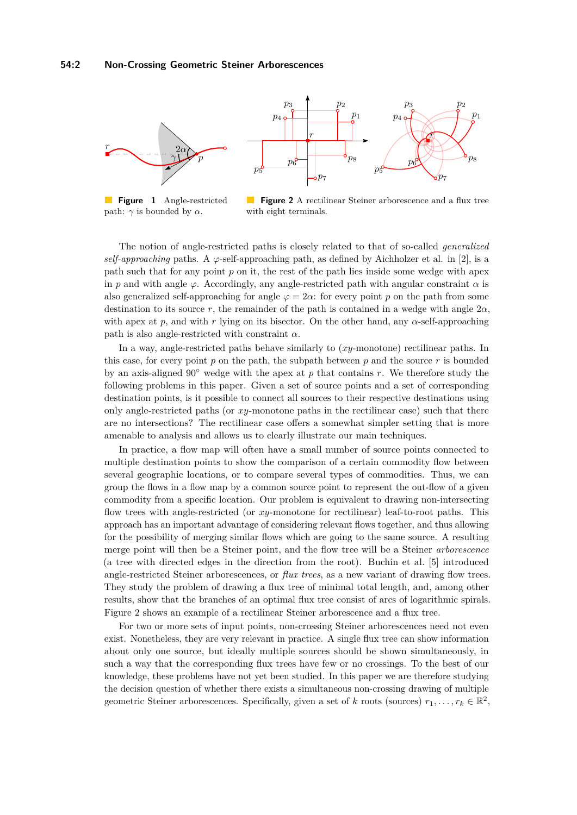<span id="page-1-0"></span>

**Figure 1** Angle-restricted path:  $γ$  is bounded by  $α$ .

**Figure 2** A rectilinear Steiner arborescence and a flux tree with eight terminals.

The notion of angle-restricted paths is closely related to that of so-called *generalized self-approaching* paths. A  $\varphi$ -self-approaching path, as defined by Aichholzer et al. in [\[2\]](#page-12-2), is a path such that for any point *p* on it, the rest of the path lies inside some wedge with apex in *p* and with angle  $\varphi$ . Accordingly, any angle-restricted path with angular constraint  $\alpha$  is also generalized self-approaching for angle  $\varphi = 2\alpha$ : for every point p on the path from some destination to its source *r*, the remainder of the path is contained in a wedge with angle  $2\alpha$ , with apex at  $p$ , and with  $r$  lying on its bisector. On the other hand, any  $\alpha$ -self-approaching path is also angle-restricted with constraint *α*.

In a way, angle-restricted paths behave similarly to (*xy*-monotone) rectilinear paths. In this case, for every point  $p$  on the path, the subpath between  $p$  and the source  $r$  is bounded by an axis-aligned 90◦ wedge with the apex at *p* that contains *r*. We therefore study the following problems in this paper. Given a set of source points and a set of corresponding destination points, is it possible to connect all sources to their respective destinations using only angle-restricted paths (or *xy*-monotone paths in the rectilinear case) such that there are no intersections? The rectilinear case offers a somewhat simpler setting that is more amenable to analysis and allows us to clearly illustrate our main techniques.

In practice, a flow map will often have a small number of source points connected to multiple destination points to show the comparison of a certain commodity flow between several geographic locations, or to compare several types of commodities. Thus, we can group the flows in a flow map by a common source point to represent the out-flow of a given commodity from a specific location. Our problem is equivalent to drawing non-intersecting flow trees with angle-restricted (or *xy*-monotone for rectilinear) leaf-to-root paths. This approach has an important advantage of considering relevant flows together, and thus allowing for the possibility of merging similar flows which are going to the same source. A resulting merge point will then be a Steiner point, and the flow tree will be a Steiner *arborescence* (a tree with directed edges in the direction from the root). Buchin et al. [\[5\]](#page-12-0) introduced angle-restricted Steiner arborescences, or *flux trees*, as a new variant of drawing flow trees. They study the problem of drawing a flux tree of minimal total length, and, among other results, show that the branches of an optimal flux tree consist of arcs of logarithmic spirals. Figure [2](#page-1-0) shows an example of a rectilinear Steiner arborescence and a flux tree.

For two or more sets of input points, non-crossing Steiner arborescences need not even exist. Nonetheless, they are very relevant in practice. A single flux tree can show information about only one source, but ideally multiple sources should be shown simultaneously, in such a way that the corresponding flux trees have few or no crossings. To the best of our knowledge, these problems have not yet been studied. In this paper we are therefore studying the decision question of whether there exists a simultaneous non-crossing drawing of multiple geometric Steiner arborescences. Specifically, given a set of *k* roots (sources)  $r_1, \ldots, r_k \in \mathbb{R}^2$ ,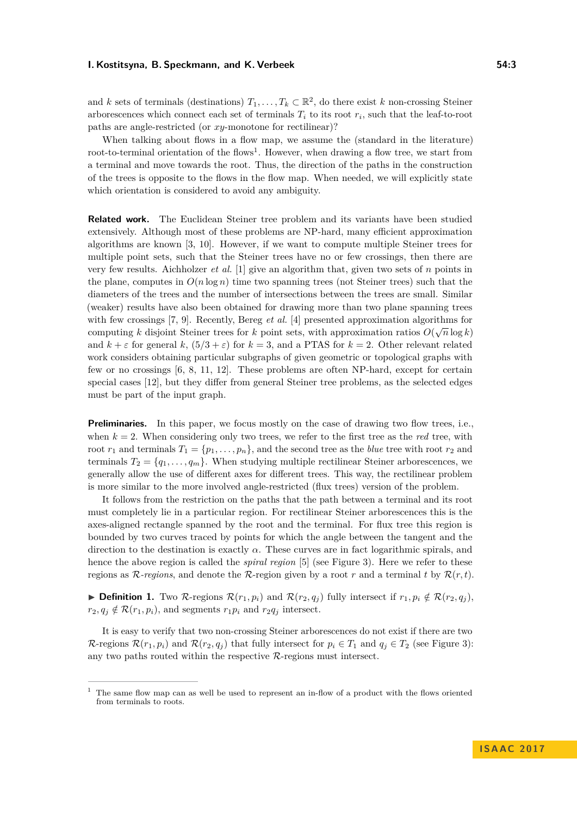#### **I. Kostitsyna, B. Speckmann, and K. Verbeek 54:3**

and *k* sets of terminals (destinations)  $T_1, \ldots, T_k \subset \mathbb{R}^2$ , do there exist *k* non-crossing Steiner arborescences which connect each set of terminals  $T_i$  to its root  $r_i$ , such that the leaf-to-root paths are angle-restricted (or *xy*-monotone for rectilinear)?

When talking about flows in a flow map, we assume the (standard in the literature) root-to-terminal orientation of the flows<sup>[1](#page-2-0)</sup>. However, when drawing a flow tree, we start from a terminal and move towards the root. Thus, the direction of the paths in the construction of the trees is opposite to the flows in the flow map. When needed, we will explicitly state which orientation is considered to avoid any ambiguity.

**Related work.** The Euclidean Steiner tree problem and its variants have been studied extensively. Although most of these problems are NP-hard, many efficient approximation algorithms are known [\[3,](#page-12-3) [10\]](#page-12-4). However, if we want to compute multiple Steiner trees for multiple point sets, such that the Steiner trees have no or few crossings, then there are very few results. Aichholzer *et al.* [\[1\]](#page-12-5) give an algorithm that, given two sets of *n* points in the plane, computes in  $O(n \log n)$  time two spanning trees (not Steiner trees) such that the diameters of the trees and the number of intersections between the trees are small. Similar (weaker) results have also been obtained for drawing more than two plane spanning trees with few crossings [\[7,](#page-12-6) [9\]](#page-12-7). Recently, Bereg *et al.* [\[4\]](#page-12-8) presented approximation algorithms for computing *k* disjoint Steiner trees for *k* point sets, with approximation ratios  $O(\sqrt{n}\log k)$ and  $k + \varepsilon$  for general  $k$ ,  $(5/3 + \varepsilon)$  for  $k = 3$ , and a PTAS for  $k = 2$ . Other relevant related work considers obtaining particular subgraphs of given geometric or topological graphs with few or no crossings [\[6,](#page-12-9) [8,](#page-12-10) [11,](#page-12-11) [12\]](#page-12-12). These problems are often NP-hard, except for certain special cases [\[12\]](#page-12-12), but they differ from general Steiner tree problems, as the selected edges must be part of the input graph.

**Preliminaries.** In this paper, we focus mostly on the case of drawing two flow trees, i.e., when  $k = 2$ . When considering only two trees, we refer to the first tree as the *red* tree, with root  $r_1$  and terminals  $T_1 = \{p_1, \ldots, p_n\}$ , and the second tree as the *blue* tree with root  $r_2$  and terminals  $T_2 = \{q_1, \ldots, q_m\}$ . When studying multiple rectilinear Steiner arborescences, we generally allow the use of different axes for different trees. This way, the rectilinear problem is more similar to the more involved angle-restricted (flux trees) version of the problem.

It follows from the restriction on the paths that the path between a terminal and its root must completely lie in a particular region. For rectilinear Steiner arborescences this is the axes-aligned rectangle spanned by the root and the terminal. For flux tree this region is bounded by two curves traced by points for which the angle between the tangent and the direction to the destination is exactly *α*. These curves are in fact logarithmic spirals, and hence the above region is called the *spiral region* [\[5\]](#page-12-0) (see Figure [3\)](#page-3-0). Here we refer to these regions as  $\mathcal{R}$ -regions, and denote the  $\mathcal{R}$ -region given by a root r and a terminal t by  $\mathcal{R}(r,t)$ .

▶ **Definition 1.** Two R-regions  $\mathcal{R}(r_1, p_i)$  and  $\mathcal{R}(r_2, q_j)$  fully intersect if  $r_1, p_i \notin \mathcal{R}(r_2, q_j)$ ,  $r_2, q_j \notin \mathcal{R}(r_1, p_i)$ , and segments  $r_1 p_i$  and  $r_2 q_j$  intersect.

It is easy to verify that two non-crossing Steiner arborescences do not exist if there are two  $\mathcal{R}$ -regions  $\mathcal{R}(r_1, p_i)$  and  $\mathcal{R}(r_2, q_j)$  that fully intersect for  $p_i \in T_1$  and  $q_j \in T_2$  (see Figure [3\)](#page-3-0): any two paths routed within the respective  $\mathcal{R}$ -regions must intersect.

<span id="page-2-0"></span><sup>1</sup> The same flow map can as well be used to represent an in-flow of a product with the flows oriented from terminals to roots.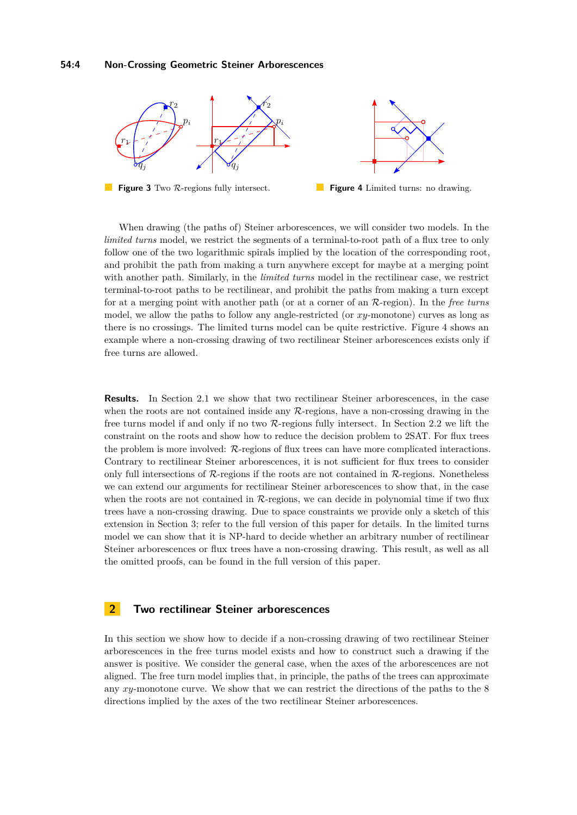<span id="page-3-0"></span>

**Figure 3** Two R-regions fully intersect. **Figure 4** Limited turns: no drawing.

When drawing (the paths of) Steiner arborescences, we will consider two models. In the *limited turns* model, we restrict the segments of a terminal-to-root path of a flux tree to only follow one of the two logarithmic spirals implied by the location of the corresponding root, and prohibit the path from making a turn anywhere except for maybe at a merging point with another path. Similarly, in the *limited turns* model in the rectilinear case, we restrict terminal-to-root paths to be rectilinear, and prohibit the paths from making a turn except for at a merging point with another path (or at a corner of an R-region). In the *free turns* model, we allow the paths to follow any angle-restricted (or *xy*-monotone) curves as long as there is no crossings. The limited turns model can be quite restrictive. Figure [4](#page-3-0) shows an example where a non-crossing drawing of two rectilinear Steiner arborescences exists only if free turns are allowed.

**Results.** In Section [2.1](#page-4-0) we show that two rectilinear Steiner arborescences, in the case when the roots are not contained inside any  $R$ -regions, have a non-crossing drawing in the free turns model if and only if no two R-regions fully intersect. In Section [2.2](#page-7-0) we lift the constraint on the roots and show how to reduce the decision problem to 2SAT. For flux trees the problem is more involved: R-regions of flux trees can have more complicated interactions. Contrary to rectilinear Steiner arborescences, it is not sufficient for flux trees to consider only full intersections of  $\mathcal{R}$ -regions if the roots are not contained in  $\mathcal{R}$ -regions. Nonetheless we can extend our arguments for rectilinear Steiner arborescences to show that, in the case when the roots are not contained in  $\mathcal{R}\text{-regions}$ , we can decide in polynomial time if two flux trees have a non-crossing drawing. Due to space constraints we provide only a sketch of this extension in Section [3;](#page-8-0) refer to the full version of this paper for details. In the limited turns model we can show that it is NP-hard to decide whether an arbitrary number of rectilinear Steiner arborescences or flux trees have a non-crossing drawing. This result, as well as all the omitted proofs, can be found in the full version of this paper.

# **2 Two rectilinear Steiner arborescences**

In this section we show how to decide if a non-crossing drawing of two rectilinear Steiner arborescences in the free turns model exists and how to construct such a drawing if the answer is positive. We consider the general case, when the axes of the arborescences are not aligned. The free turn model implies that, in principle, the paths of the trees can approximate any *xy*-monotone curve. We show that we can restrict the directions of the paths to the 8 directions implied by the axes of the two rectilinear Steiner arborescences.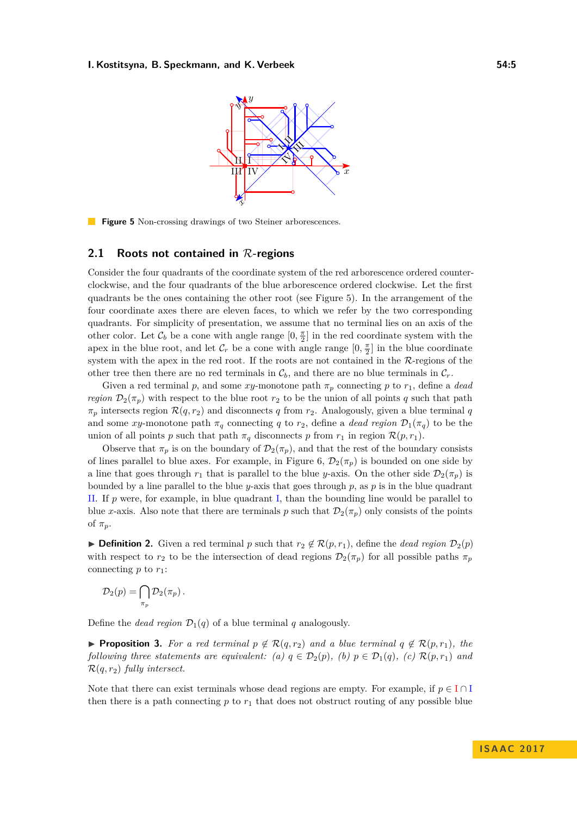#### <span id="page-4-1"></span>**I. Kostitsyna, B. Speckmann, and K. Verbeek 64:5** 64:5



**Figure 5** Non-crossing drawings of two Steiner arborescences.

### <span id="page-4-0"></span>**2.1 Roots not contained in** R**-regions**

Consider the four quadrants of the coordinate system of the red arborescence ordered counterclockwise, and the four quadrants of the blue arborescence ordered clockwise. Let the first quadrants be the ones containing the other root (see Figure [5\)](#page-4-1). In the arrangement of the four coordinate axes there are eleven faces, to which we refer by the two corresponding quadrants. For simplicity of presentation, we assume that no terminal lies on an axis of the other color. Let  $\mathcal{C}_b$  be a cone with angle range  $[0, \frac{\pi}{2}]$  in the red coordinate system with the apex in the blue root, and let  $\mathcal{C}_r$  be a cone with angle range  $[0, \frac{\pi}{2}]$  in the blue coordinate system with the apex in the red root. If the roots are not contained in the  $\mathcal{R}\text{-regions}$  of the other tree then there are no red terminals in  $C_b$ , and there are no blue terminals in  $C_r$ .

Given a red terminal *p*, and some *xy*-monotone path  $\pi_p$  connecting *p* to  $r_1$ , define a *dead region*  $\mathcal{D}_2(\pi_p)$  with respect to the blue root  $r_2$  to be the union of all points *q* such that path  $\pi_p$  intersects region  $\mathcal{R}(q, r_2)$  and disconnects *q* from  $r_2$ . Analogously, given a blue terminal *q* and some *xy*-monotone path  $\pi_q$  connecting *q* to *r*<sub>2</sub>, define a *dead region*  $\mathcal{D}_1(\pi_q)$  to be the union of all points *p* such that path  $\pi_q$  disconnects *p* from  $r_1$  in region  $\mathcal{R}(p,r_1)$ .

Observe that  $\pi_p$  is on the boundary of  $\mathcal{D}_2(\pi_p)$ , and that the rest of the boundary consists of lines parallel to blue axes. For example, in Figure [6,](#page-5-0)  $\mathcal{D}_2(\pi_p)$  is bounded on one side by a line that goes through  $r_1$  that is parallel to the blue *y*-axis. On the other side  $\mathcal{D}_2(\pi_p)$  is bounded by a line parallel to the blue *y*-axis that goes through *p*, as *p* is in the blue quadrant II. If *p* were, for example, in blue quadrant I, than the bounding line would be parallel to blue *x*-axis. Also note that there are terminals *p* such that  $\mathcal{D}_2(\pi_p)$  only consists of the points of  $\pi_p$ .

▶ **Definition 2.** Given a red terminal *p* such that  $r_2 \notin \mathcal{R}(p, r_1)$ , define the *dead region*  $\mathcal{D}_2(p)$ with respect to  $r_2$  to be the intersection of dead regions  $\mathcal{D}_2(\pi_p)$  for all possible paths  $\pi_p$ connecting  $p$  to  $r_1$ :

$$
\mathcal{D}_2(p) = \bigcap_{\pi_p} \mathcal{D}_2(\pi_p) .
$$

Define the *dead region*  $\mathcal{D}_1(q)$  of a blue terminal *q* analogously.

<span id="page-4-2"></span>▶ **Proposition 3.** For a red terminal  $p \notin \mathcal{R}(q, r_2)$  and a blue terminal  $q \notin \mathcal{R}(p, r_1)$ , the *following three statements are equivalent:* (a)  $q \in \mathcal{D}_2(p)$ , (b)  $p \in \mathcal{D}_1(q)$ , (c)  $\mathcal{R}(p,r_1)$  and R(*q, r*2) *fully intersect.*

Note that there can exist terminals whose dead regions are empty. For example, if  $p \in I \cap I$ then there is a path connecting  $p$  to  $r_1$  that does not obstruct routing of any possible blue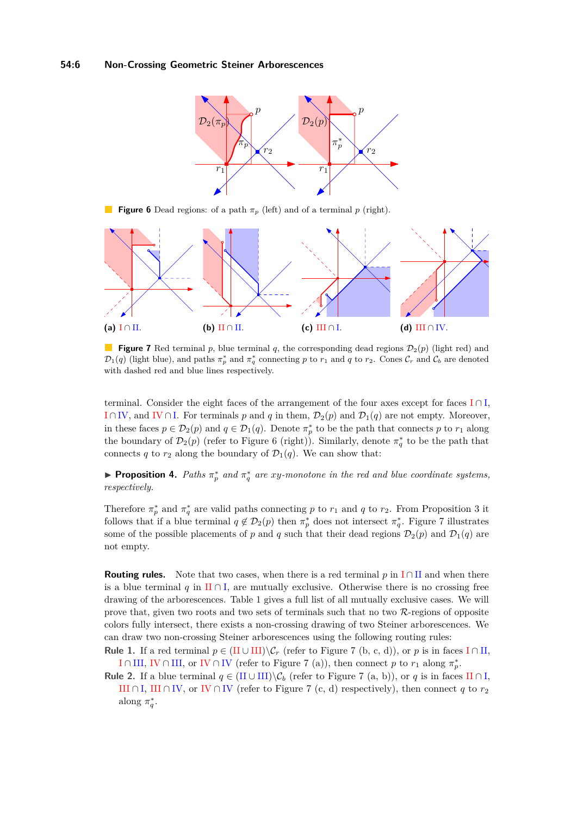<span id="page-5-0"></span>

**Figure 6** Dead regions: of a path  $\pi_p$  (left) and of a terminal *p* (right).

<span id="page-5-1"></span>

**Figure 7** Red terminal *p*, blue terminal *q*, the corresponding dead regions  $\mathcal{D}_2(p)$  (light red) and  $\mathcal{D}_1(q)$  (light blue), and paths  $\pi_p^*$  and  $\pi_q^*$  connecting p to  $r_1$  and q to  $r_2$ . Cones  $\mathcal{C}_r$  and  $\mathcal{C}_b$  are denoted with dashed red and blue lines respectively.

terminal. Consider the eight faces of the arrangement of the four axes except for faces  $I \cap I$ , I∩IV, and IV∩I. For terminals *p* and *q* in them,  $\mathcal{D}_2(p)$  and  $\mathcal{D}_1(q)$  are not empty. Moreover, in these faces  $p \in \mathcal{D}_2(p)$  and  $q \in \mathcal{D}_1(q)$ . Denote  $\pi_p^*$  to be the path that connects p to  $r_1$  along the boundary of  $\mathcal{D}_2(p)$  (refer to Figure [6](#page-5-0) (right)). Similarly, denote  $\pi_q^*$  to be the path that connects *q* to  $r_2$  along the boundary of  $\mathcal{D}_1(q)$ . We can show that:

**• Proposition 4.** Paths  $\pi_p^*$  and  $\pi_q^*$  are xy-monotone in the red and blue coordinate systems, *respectively.*

Therefore  $\pi_p^*$  and  $\pi_q^*$  are valid paths connecting *p* to  $r_1$  and *q* to  $r_2$ . From Proposition [3](#page-4-2) it follows that if a blue terminal  $q \notin \mathcal{D}_2(p)$  then  $\pi_p^*$  does not intersect  $\pi_q^*$ . Figure [7](#page-5-1) illustrates some of the possible placements of *p* and *q* such that their dead regions  $\mathcal{D}_2(p)$  and  $\mathcal{D}_1(q)$  are not empty.

**Routing rules.** Note that two cases, when there is a red terminal *p* in  $I \cap II$  and when there is a blue terminal *q* in  $\text{II} \cap \text{I}$ , are mutually exclusive. Otherwise there is no crossing free drawing of the arborescences. Table [1](#page-6-0) gives a full list of all mutually exclusive cases. We will prove that, given two roots and two sets of terminals such that no two  $\mathcal{R}$ -regions of opposite colors fully intersect, there exists a non-crossing drawing of two Steiner arborescences. We can draw two non-crossing Steiner arborescences using the following routing rules:

**Rule 1.** If a red terminal  $p \in (II \cup III) \ C_r$  (refer to Figure [7](#page-5-1) (b, c, d)), or *p* is in faces I∩II, I ∩ III, IV ∩ III, or IV ∩ IV (refer to Figure [7](#page-5-1) (a)), then connect *p* to  $r_1$  along  $\pi_p^*$ .

**Rule 2.** If a blue terminal  $q \in (II \cup III) \setminus C_b$  (refer to Figure [7](#page-5-1) (a, b)), or q is in faces II ∩ I, III ∩ I, III ∩ IV, or IV ∩ IV (refer to Figure [7](#page-5-1) (c, d) respectively), then connect *q* to  $r_2$ along  $\pi_q^*$ .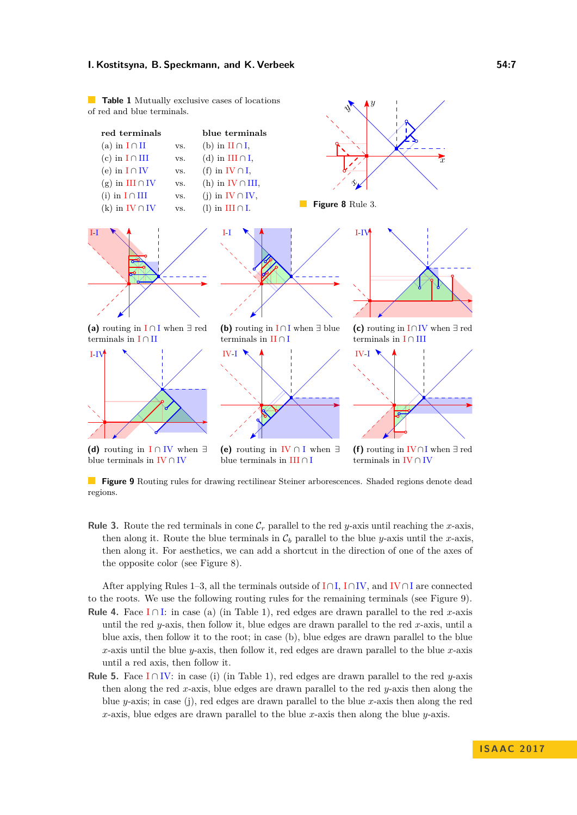#### **I. Kostitsyna, B. Speckmann, and K. Verbeek 64:7** 654:7

<span id="page-6-0"></span>**Table 1** Mutually exclusive cases of locations of red and blue terminals.

<span id="page-6-1"></span>

 $\hat{y}$ 

y

**Figure 9** Routing rules for drawing rectilinear Steiner arborescences. Shaded regions denote dead regions.

**Rule 3.** Route the red terminals in cone  $\mathcal{C}_r$  parallel to the red *y*-axis until reaching the *x*-axis, then along it. Route the blue terminals in  $C_b$  parallel to the blue *y*-axis until the *x*-axis, then along it. For aesthetics, we can add a shortcut in the direction of one of the axes of the opposite color (see Figure [8\)](#page-6-0).

After applying Rules 1–3, all the terminals outside of I∩I, I∩IV, and IV∩I are connected to the roots. We use the following routing rules for the remaining terminals (see Figure [9\)](#page-6-1). **Rule 4.** Face I∩I: in case (a) (in Table [1\)](#page-6-0), red edges are drawn parallel to the red *x*-axis until the red *y*-axis, then follow it, blue edges are drawn parallel to the red *x*-axis, until a blue axis, then follow it to the root; in case (b), blue edges are drawn parallel to the blue *x*-axis until the blue *y*-axis, then follow it, red edges are drawn parallel to the blue *x*-axis until a red axis, then follow it.

**Rule 5.** Face  $I ∩ IV$ : in case (i) (in Table [1\)](#page-6-0), red edges are drawn parallel to the red *y*-axis then along the red *x*-axis, blue edges are drawn parallel to the red *y*-axis then along the blue *y*-axis; in case (j), red edges are drawn parallel to the blue *x*-axis then along the red *x*-axis, blue edges are drawn parallel to the blue *x*-axis then along the blue *y*-axis.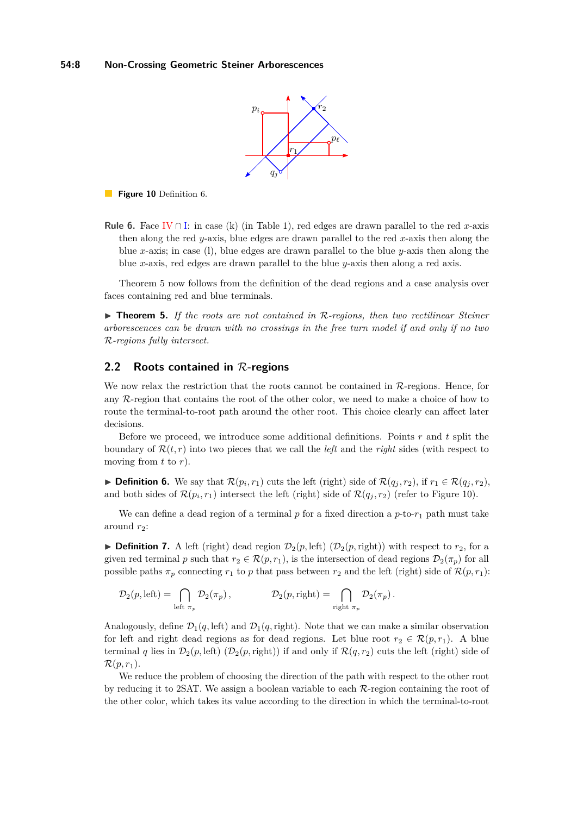

<span id="page-7-3"></span>**Figure 10** Definition [6.](#page-7-1)

**Rule 6.** Face IV ∩ I: in case (k) (in Table [1\)](#page-6-0), red edges are drawn parallel to the red *x*-axis then along the red *y*-axis, blue edges are drawn parallel to the red *x*-axis then along the blue *x*-axis; in case (l), blue edges are drawn parallel to the blue *y*-axis then along the blue *x*-axis, red edges are drawn parallel to the blue *y*-axis then along a red axis.

Theorem [5](#page-7-2) now follows from the definition of the dead regions and a case analysis over faces containing red and blue terminals.

<span id="page-7-2"></span>▶ **Theorem 5.** If the roots are not contained in R-regions, then two rectilinear Steiner *arborescences can be drawn with no crossings in the free turn model if and only if no two* R*-regions fully intersect.*

### <span id="page-7-0"></span>**2.2 Roots contained in** R**-regions**

We now relax the restriction that the roots cannot be contained in  $\mathcal{R}\text{-regions}$ . Hence, for any R-region that contains the root of the other color, we need to make a choice of how to route the terminal-to-root path around the other root. This choice clearly can affect later decisions.

Before we proceed, we introduce some additional definitions. Points *r* and *t* split the boundary of  $\mathcal{R}(t,r)$  into two pieces that we call the *left* and the *right* sides (with respect to moving from *t* to *r*).

<span id="page-7-1"></span>▶ **Definition 6.** We say that  $\mathcal{R}(p_i, r_1)$  cuts the left (right) side of  $\mathcal{R}(q_j, r_2)$ , if  $r_1 \in \mathcal{R}(q_j, r_2)$ , and both sides of  $\mathcal{R}(p_i, r_1)$  intersect the left (right) side of  $\mathcal{R}(q_j, r_2)$  (refer to Figure [10\)](#page-7-3).

We can define a dead region of a terminal  $p$  for a fixed direction a  $p$ -to- $r_1$  path must take around  $r_2$ :

**Definition 7.** A left (right) dead region  $\mathcal{D}_2(p, \text{left})$  ( $\mathcal{D}_2(p, \text{right})$ ) with respect to  $r_2$ , for a given red terminal *p* such that  $r_2 \in \mathcal{R}(p,r_1)$ , is the intersection of dead regions  $\mathcal{D}_2(\pi_p)$  for all possible paths  $\pi_p$  connecting  $r_1$  to p that pass between  $r_2$  and the left (right) side of  $\mathcal{R}(p, r_1)$ :

$$
\mathcal{D}_2(p,\text{left}) = \bigcap_{\text{left } \pi_p} \mathcal{D}_2(\pi_p), \qquad \qquad \mathcal{D}_2(p,\text{right}) = \bigcap_{\text{right } \pi_p} \mathcal{D}_2(\pi_p).
$$

Analogously, define  $\mathcal{D}_1(q, \text{left})$  and  $\mathcal{D}_1(q, \text{right})$ . Note that we can make a similar observation for left and right dead regions as for dead regions. Let blue root  $r_2 \in \mathcal{R}(p,r_1)$ . A blue terminal *q* lies in  $\mathcal{D}_2(p,\text{left})$  ( $\mathcal{D}_2(p,\text{right})$ ) if and only if  $\mathcal{R}(q,r_2)$  cuts the left (right) side of  $\mathcal{R}(p, r_1)$ .

We reduce the problem of choosing the direction of the path with respect to the other root by reducing it to 2SAT. We assign a boolean variable to each  $\mathcal{R}\text{-region}$  containing the root of the other color, which takes its value according to the direction in which the terminal-to-root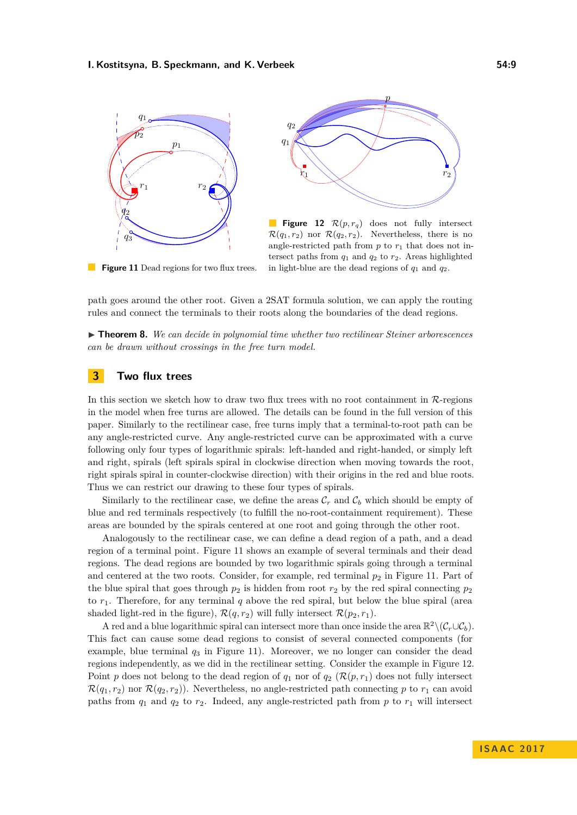<span id="page-8-1"></span>



**Figure 12** R(*p, rq*) does not fully intersect  $\mathcal{R}(q_1, r_2)$  nor  $\mathcal{R}(q_2, r_2)$ . Nevertheless, there is no angle-restricted path from  $p$  to  $r_1$  that does not intersect paths from  $q_1$  and  $q_2$  to  $r_2$ . Areas highlighted in light-blue are the dead regions of *q*<sup>1</sup> and *q*2.

**Figure 11** Dead regions for two flux trees.

path goes around the other root. Given a 2SAT formula solution, we can apply the routing rules and connect the terminals to their roots along the boundaries of the dead regions.

▶ **Theorem 8.** *We can decide in polynomial time whether two rectilinear Steiner arborescences can be drawn without crossings in the free turn model.*

# <span id="page-8-0"></span>**3 Two flux trees**

In this section we sketch how to draw two flux trees with no root containment in  $\mathcal{R}$ -regions in the model when free turns are allowed. The details can be found in the full version of this paper. Similarly to the rectilinear case, free turns imply that a terminal-to-root path can be any angle-restricted curve. Any angle-restricted curve can be approximated with a curve following only four types of logarithmic spirals: left-handed and right-handed, or simply left and right, spirals (left spirals spiral in clockwise direction when moving towards the root, right spirals spiral in counter-clockwise direction) with their origins in the red and blue roots. Thus we can restrict our drawing to these four types of spirals.

Similarly to the rectilinear case, we define the areas  $\mathcal{C}_r$  and  $\mathcal{C}_b$  which should be empty of blue and red terminals respectively (to fulfill the no-root-containment requirement). These areas are bounded by the spirals centered at one root and going through the other root.

Analogously to the rectilinear case, we can define a dead region of a path, and a dead region of a terminal point. Figure [11](#page-8-1) shows an example of several terminals and their dead regions. The dead regions are bounded by two logarithmic spirals going through a terminal and centered at the two roots. Consider, for example, red terminal  $p_2$  in Figure [11.](#page-8-1) Part of the blue spiral that goes through  $p_2$  is hidden from root  $r_2$  by the red spiral connecting  $p_2$ to  $r_1$ . Therefore, for any terminal  $q$  above the red spiral, but below the blue spiral (area shaded light-red in the figure),  $\mathcal{R}(q, r_2)$  will fully intersect  $\mathcal{R}(p_2, r_1)$ .

A red and a blue logarithmic spiral can intersect more than once inside the area  $\mathbb{R}^2 \setminus (\mathcal{C}_r \cup \mathcal{C}_b)$ . This fact can cause some dead regions to consist of several connected components (for example, blue terminal *q*<sup>3</sup> in Figure [11\)](#page-8-1). Moreover, we no longer can consider the dead regions independently, as we did in the rectilinear setting. Consider the example in Figure [12.](#page-8-1) Point *p* does not belong to the dead region of  $q_1$  nor of  $q_2$  ( $\mathcal{R}(p,r_1)$  does not fully intersect  $\mathcal{R}(q_1, r_2)$  nor  $\mathcal{R}(q_2, r_2)$ ). Nevertheless, no angle-restricted path connecting p to  $r_1$  can avoid paths from  $q_1$  and  $q_2$  to  $r_2$ . Indeed, any angle-restricted path from  $p$  to  $r_1$  will intersect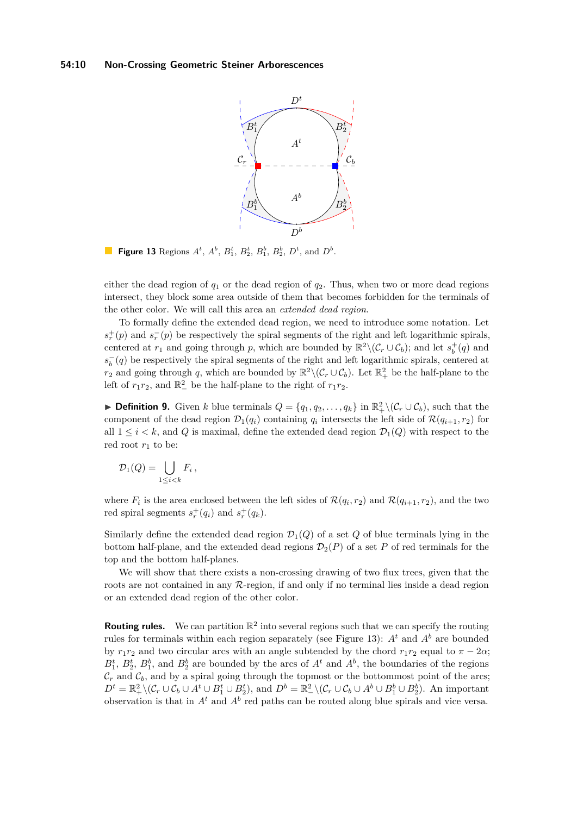<span id="page-9-0"></span>

**Figure 13** Regions  $A^t$ ,  $A^b$ ,  $B_1^t$ ,  $B_2^t$ ,  $B_1^b$ ,  $B_2^b$ ,  $D^t$ , and  $D^b$ .

either the dead region of *q*<sup>1</sup> or the dead region of *q*2. Thus, when two or more dead regions intersect, they block some area outside of them that becomes forbidden for the terminals of the other color. We will call this area an *extended dead region*.

To formally define the extended dead region, we need to introduce some notation. Let  $s_r^+(p)$  and  $s_r^-(p)$  be respectively the spiral segments of the right and left logarithmic spirals, centered at  $r_1$  and going through  $p$ , which are bounded by  $\mathbb{R}^2 \setminus (\mathcal{C}_r \cup \mathcal{C}_b)$ ; and let  $s_b^+(q)$  and  $s_b^-(q)$  be respectively the spiral segments of the right and left logarithmic spirals, centered at *r*<sub>2</sub> and going through *q*, which are bounded by  $\mathbb{R}^2 \setminus (\mathcal{C}_r \cup \mathcal{C}_b)$ . Let  $\mathbb{R}_+^2$  be the half-plane to the left of  $r_1r_2$ , and  $\mathbb{R}^2$  be the half-plane to the right of  $r_1r_2$ .

**► Definition 9.** Given *k* blue terminals  $Q = \{q_1, q_2, \ldots, q_k\}$  in  $\mathbb{R}^2_+ \setminus (\mathcal{C}_r \cup \mathcal{C}_b)$ , such that the component of the dead region  $\mathcal{D}_1(q_i)$  containing  $q_i$  intersects the left side of  $\mathcal{R}(q_{i+1}, r_2)$  for all  $1 \leq i \leq k$ , and *Q* is maximal, define the extended dead region  $\mathcal{D}_1(Q)$  with respect to the red root  $r_1$  to be:

$$
\mathcal{D}_1(Q) = \bigcup_{1 \leq i < k} F_i \,,
$$

where  $F_i$  is the area enclosed between the left sides of  $\mathcal{R}(q_i, r_2)$  and  $\mathcal{R}(q_{i+1}, r_2)$ , and the two red spiral segments  $s_r^+(q_i)$  and  $s_r^+(q_k)$ .

Similarly define the extended dead region  $\mathcal{D}_1(Q)$  of a set Q of blue terminals lying in the bottom half-plane, and the extended dead regions  $\mathcal{D}_2(P)$  of a set P of red terminals for the top and the bottom half-planes.

We will show that there exists a non-crossing drawing of two flux trees, given that the roots are not contained in any  $R$ -region, if and only if no terminal lies inside a dead region or an extended dead region of the other color.

**Routing rules.** We can partition  $\mathbb{R}^2$  into several regions such that we can specify the routing rules for terminals within each region separately (see Figure [13\)](#page-9-0):  $A<sup>t</sup>$  and  $A<sup>b</sup>$  are bounded by  $r_1r_2$  and two circular arcs with an angle subtended by the chord  $r_1r_2$  equal to  $\pi - 2\alpha$ ;  $B_1^t$ ,  $B_2^t$ ,  $B_1^b$ , and  $B_2^b$  are bounded by the arcs of  $A^t$  and  $A^b$ , the boundaries of the regions  $\mathcal{C}_r$  and  $\mathcal{C}_b$ , and by a spiral going through the topmost or the bottommost point of the arcs;  $D^t = \mathbb{R}_+^2 \setminus (\mathcal{C}_r \cup \mathcal{C}_b \cup A^t \cup B_1^t \cup B_2^t)$ , and  $D^b = \mathbb{R}_-^2 \setminus (\mathcal{C}_r \cup \mathcal{C}_b \cup A^b \cup B_1^b \cup B_2^b)$ . An important observation is that in  $A<sup>t</sup>$  and  $A<sup>b</sup>$  red paths can be routed along blue spirals and vice versa.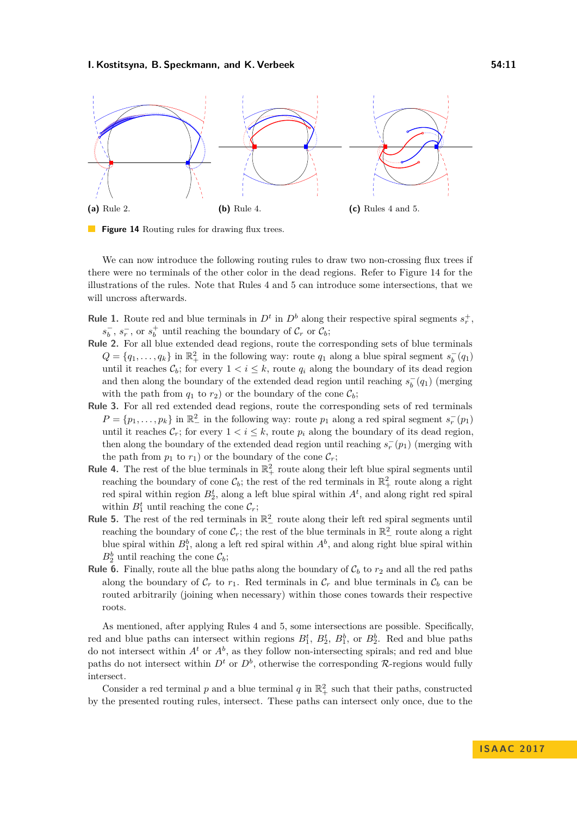### **I. Kostitsyna, B. Speckmann, and K. Verbeek 54:11**

<span id="page-10-0"></span>

**Figure 14** Routing rules for drawing flux trees.

We can now introduce the following routing rules to draw two non-crossing flux trees if there were no terminals of the other color in the dead regions. Refer to Figure [14](#page-10-0) for the illustrations of the rules. Note that Rules 4 and 5 can introduce some intersections, that we will uncross afterwards.

- **Rule 1.** Route red and blue terminals in  $D^t$  in  $D^b$  along their respective spiral segments  $s_r^+$ ,  $s_b^-, s_r^-,$  or  $s_b^+$  until reaching the boundary of  $\mathcal{C}_r$  or  $\mathcal{C}_b$ ;
- **Rule 2.** For all blue extended dead regions, route the corresponding sets of blue terminals  $Q = \{q_1, \ldots, q_k\}$  in  $\mathbb{R}^2_+$  in the following way: route  $q_1$  along a blue spiral segment  $s_b^-(q_1)$ until it reaches  $\mathcal{C}_b$ ; for every  $1 < i \leq k$ , route  $q_i$  along the boundary of its dead region and then along the boundary of the extended dead region until reaching  $s_b^-(q_1)$  (merging with the path from  $q_1$  to  $r_2$ ) or the boundary of the cone  $\mathcal{C}_b$ ;
- **Rule 3.** For all red extended dead regions, route the corresponding sets of red terminals  $P = \{p_1, \ldots, p_k\}$  in  $\mathbb{R}^2$  in the following way: route  $p_1$  along a red spiral segment  $s_r^-(p_1)$ until it reaches  $\mathcal{C}_r$ ; for every  $1 < i \leq k$ , route  $p_i$  along the boundary of its dead region, then along the boundary of the extended dead region until reaching  $s_r^-(p_1)$  (merging with the path from  $p_1$  to  $r_1$ ) or the boundary of the cone  $\mathcal{C}_r$ ;
- **Rule 4.** The rest of the blue terminals in  $\mathbb{R}^2_+$  route along their left blue spiral segments until reaching the boundary of cone  $\mathcal{C}_b$ ; the rest of the red terminals in  $\mathbb{R}^2_+$  route along a right red spiral within region  $B_2^t$ , along a left blue spiral within  $A^t$ , and along right red spiral within  $B_1^t$  until reaching the cone  $\mathcal{C}_r$ ;
- **Rule 5.** The rest of the red terminals in  $\mathbb{R}^2$  route along their left red spiral segments until reaching the boundary of cone  $\mathcal{C}_r$ ; the rest of the blue terminals in  $\mathbb{R}^2_-$  route along a right blue spiral within  $B_1^b$ , along a left red spiral within  $A^b$ , and along right blue spiral within  $B_2^b$  until reaching the cone  $\mathcal{C}_b$ ;
- **Rule 6.** Finally, route all the blue paths along the boundary of  $C_b$  to  $r_2$  and all the red paths along the boundary of  $\mathcal{C}_r$  to  $r_1$ . Red terminals in  $\mathcal{C}_r$  and blue terminals in  $\mathcal{C}_b$  can be routed arbitrarily (joining when necessary) within those cones towards their respective roots.

As mentioned, after applying Rules 4 and 5, some intersections are possible. Specifically, red and blue paths can intersect within regions  $B_1^t$ ,  $B_2^t$ ,  $B_1^b$ , or  $B_2^b$ . Red and blue paths do not intersect within  $A^t$  or  $A^b$ , as they follow non-intersecting spirals; and red and blue paths do not intersect within  $D^t$  or  $D^b$ , otherwise the corresponding  $\mathcal{R}$ -regions would fully intersect.

Consider a red terminal  $p$  and a blue terminal  $q$  in  $\mathbb{R}^2_+$  such that their paths, constructed by the presented routing rules, intersect. These paths can intersect only once, due to the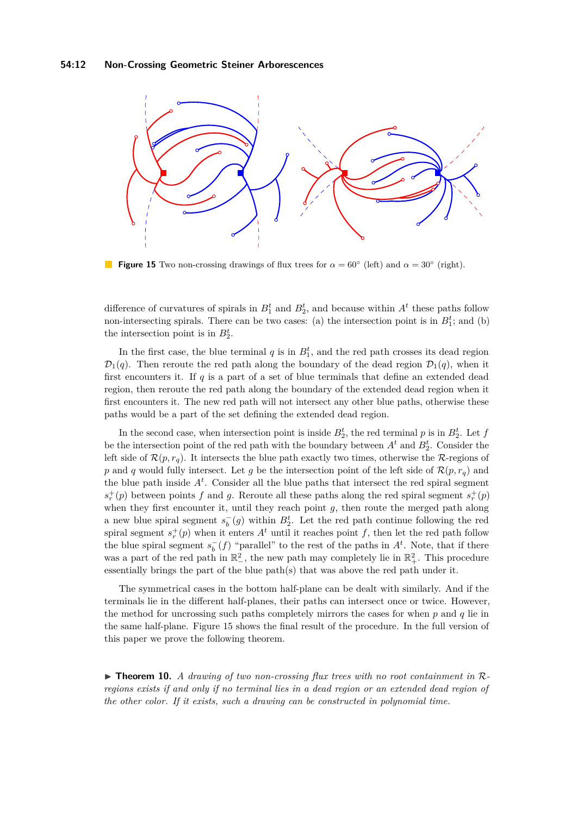<span id="page-11-0"></span>

**Figure 15** Two non-crossing drawings of flux trees for  $\alpha = 60^{\circ}$  (left) and  $\alpha = 30^{\circ}$  (right).

difference of curvatures of spirals in  $B_1^t$  and  $B_2^t$ , and because within  $A^t$  these paths follow non-intersecting spirals. There can be two cases: (a) the intersection point is in  $B_1^t$ ; and (b) the intersection point is in  $B_2^t$ .

In the first case, the blue terminal  $q$  is in  $B_1^t$ , and the red path crosses its dead region  $\mathcal{D}_1(q)$ . Then reroute the red path along the boundary of the dead region  $\mathcal{D}_1(q)$ , when it first encounters it. If *q* is a part of a set of blue terminals that define an extended dead region, then reroute the red path along the boundary of the extended dead region when it first encounters it. The new red path will not intersect any other blue paths, otherwise these paths would be a part of the set defining the extended dead region.

In the second case, when intersection point is inside  $B_2^t$ , the red terminal *p* is in  $B_2^t$ . Let *f* be the intersection point of the red path with the boundary between  $A<sup>t</sup>$  and  $B<sup>t</sup><sub>2</sub>$ . Consider the left side of  $\mathcal{R}(p, r_q)$ . It intersects the blue path exactly two times, otherwise the  $\mathcal{R}$ -regions of *p* and *q* would fully intersect. Let *g* be the intersection point of the left side of  $\mathcal{R}(p,r_q)$  and the blue path inside  $A<sup>t</sup>$ . Consider all the blue paths that intersect the red spiral segment  $s_r^+(p)$  between points *f* and *g*. Reroute all these paths along the red spiral segment  $s_r^+(p)$ when they first encounter it, until they reach point *g*, then route the merged path along a new blue spiral segment  $s_b^-(g)$  within  $B_2^t$ . Let the red path continue following the red spiral segment  $s_r^+(p)$  when it enters  $A^t$  until it reaches point  $f$ , then let the red path follow the blue spiral segment  $s_b^-(f)$  "parallel" to the rest of the paths in  $A^t$ . Note, that if there was a part of the red path in  $\mathbb{R}^2$ , the new path may completely lie in  $\mathbb{R}^2_+$ . This procedure essentially brings the part of the blue path(s) that was above the red path under it.

The symmetrical cases in the bottom half-plane can be dealt with similarly. And if the terminals lie in the different half-planes, their paths can intersect once or twice. However, the method for uncrossing such paths completely mirrors the cases for when *p* and *q* lie in the same half-plane. Figure [15](#page-11-0) shows the final result of the procedure. In the full version of this paper we prove the following theorem.

▶ Theorem 10. *A drawing of two non-crossing flux trees with no root containment in* R*regions exists if and only if no terminal lies in a dead region or an extended dead region of the other color. If it exists, such a drawing can be constructed in polynomial time.*